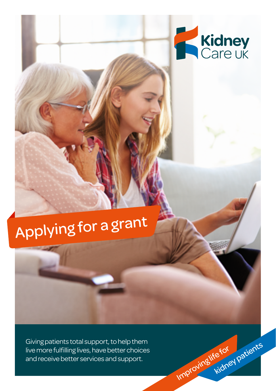

Improving life for

kidney patients

# Applying for a gran<sup>t</sup>

Giving patients total support, to help them live more fulfilling lives, have better choices and receive better services and support.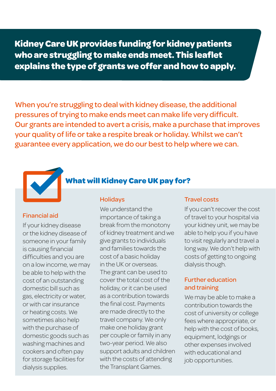**Kidney Care UK provides funding for kidney patients who are struggling to make ends meet. This leaflet explains the type of grants we offer and how to apply.**

When you're struggling to deal with kidney disease, the additional pressures of trying to make ends meet can make life very difficult. Our grants are intended to avert a crisis, make a purchase that improves your quality of life or take a respite break or holiday. Whilst we can't guarantee every application, we do our best to help where we can.



# **What will Kidney Care UK pay for?**

Holidays

#### Financial aid

If your kidney disease or the kidney disease of someone in your family is causing financial difficulties and you are on a low income, we may be able to help with the cost of an outstanding domestic bill such as gas, electricity or water, or with car insurance or heating costs. We sometimes also help with the purchase of domestic goods such as washing machines and cookers and often pay for storage facilities for dialysis supplies.

We understand the importance of taking a break from the monotony of kidney treatment and we give grants to individuals and families towards the cost of a basic holiday in the UK or overseas. The grant can be used to cover the total cost of the holiday, or it can be used as a contribution towards the final cost. Payments are made directly to the travel company. We only make one holiday grant per couple or family in any two-year period. We also support adults and children with the costs of attending the Transplant Games.

#### Travel costs

If you can't recover the cost of travel to your hospital via your kidney unit, we may be able to help you if you have to visit regularly and travel a long way. We don't help with costs of getting to ongoing dialysis though.

### Further education and training

We may be able to make a contribution towards the cost of university or college fees where appropriate, or help with the cost of books, equipment, lodgings or other expenses involved with educational and job opportunities.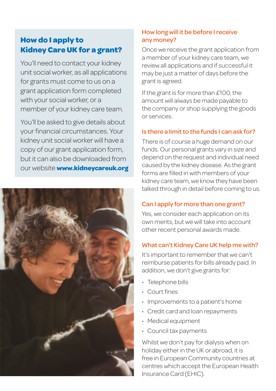# **How do I apply to Kidney Care UK for a grant?**

You'll need to contact your kidney unit social worker, as all applications for grants must come to us on a grant application form completed with your social worker, or a member of your kidney care team.

You'll be asked to give details about your financial circumstances. Your kidney unit social worker will have a copy of our grant application form, but it can also be downloaded from our website **www.kidneycareuk.org**



# How long will it be before I receive any money?

Once we receive the grant application from a member of your kidney care team, we review all applications and if successful it may be just a matter of days before the grant is agreed.

If the grant is for more than £100, the amount will always be made payable to the company or shop supplying the goods or services.

## Is there a limit to the funds I can ask for?

There is of course a huge demand on our funds. Our personal grants vary in size and depend on the request and individual need caused by the kidney disease. As the grant forms are filled in with members of your kidney care team, we know they have been talked through in detail before coming to us.

## Can I apply for more than one grant?

Yes, we consider each application on its own merits, but we will take into account other recent personal awards made.

## What can't Kidney Care UK help me with?

It's important to remember that we can't reimburse patients for bills already paid. In addition, we don't give grants for:

- Telephone bills
- Court fines
- Improvements to a patient's home
- Credit card and loan repayments
- Medical equipment
- Council tax payments

Whilst we don't pay for dialysis when on holiday either in the UK or abroad, it is free in European Community countries at centres which accept the European Health Insurance Card (EHIC).